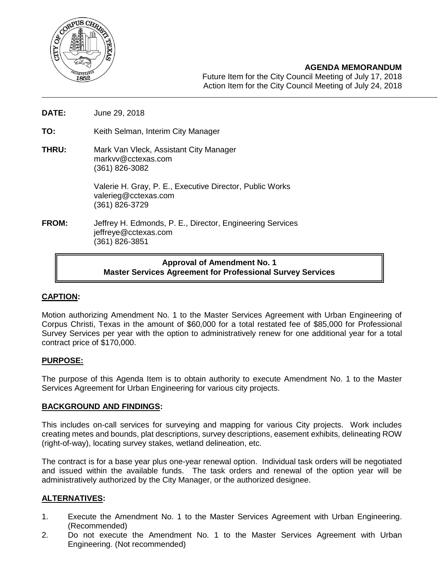

## **AGENDA MEMORANDUM**

Future Item for the City Council Meeting of July 17, 2018 Action Item for the City Council Meeting of July 24, 2018

- **DATE:** June 29, 2018
- **TO:** Keith Selman, Interim City Manager
- **THRU:** Mark Van Vleck, Assistant City Manager [markvv@cctexas.com](mailto:markvv@cctexas.com) (361) 826-3082

Valerie H. Gray, P. E., Executive Director, Public Works [valerieg@cctexas.com](mailto:valerieg@cctexas.com) (361) 826-3729

**FROM:** Jeffrey H. Edmonds, P. E., Director, Engineering Services [jeffreye@cctexas.com](mailto:jeffreye@cctexas.com) (361) 826-3851

# **Approval of Amendment No. 1 Master Services Agreement for Professional Survey Services**

## **CAPTION:**

Motion authorizing Amendment No. 1 to the Master Services Agreement with Urban Engineering of Corpus Christi, Texas in the amount of \$60,000 for a total restated fee of \$85,000 for Professional Survey Services per year with the option to administratively renew for one additional year for a total contract price of \$170,000.

### **PURPOSE:**

The purpose of this Agenda Item is to obtain authority to execute Amendment No. 1 to the Master Services Agreement for Urban Engineering for various city projects.

### **BACKGROUND AND FINDINGS:**

This includes on-call services for surveying and mapping for various City projects. Work includes creating metes and bounds, plat descriptions, survey descriptions, easement exhibits, delineating ROW (right-of-way), locating survey stakes, wetland delineation, etc.

The contract is for a base year plus one-year renewal option. Individual task orders will be negotiated and issued within the available funds. The task orders and renewal of the option year will be administratively authorized by the City Manager, or the authorized designee.

## **ALTERNATIVES:**

- 1. Execute the Amendment No. 1 to the Master Services Agreement with Urban Engineering. (Recommended)
- 2. Do not execute the Amendment No. 1 to the Master Services Agreement with Urban Engineering. (Not recommended)